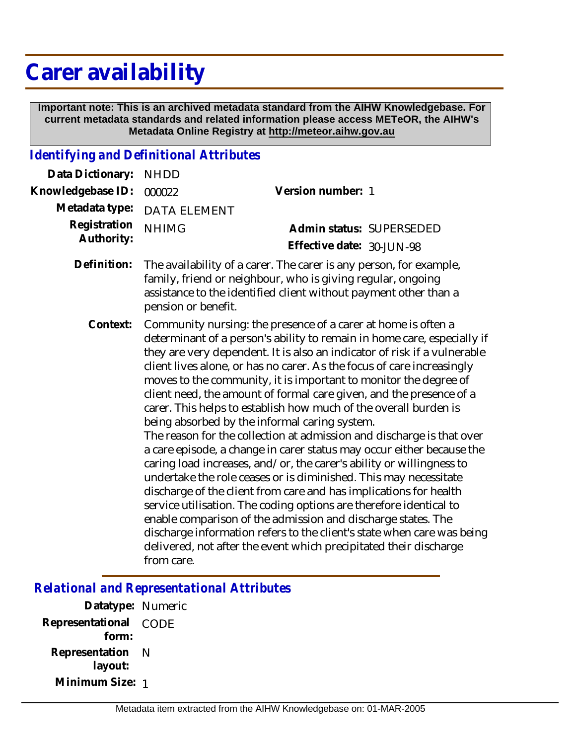## **Carer availability**

 **Important note: This is an archived metadata standard from the AIHW Knowledgebase. For current metadata standards and related information please access METeOR, the AIHW's Metadata Online Registry at http://meteor.aihw.gov.au**

## *Identifying and Definitional Attributes*

| Data Dictionary:           | <b>NHDD</b>                                                                                                                                                                                                                                                                                                                                                                                                                                                                                                                                                                                                                                                                                                                                                                                                                                                                                                                                                                                                                                                                                                                                                                                                                          |                                                       |
|----------------------------|--------------------------------------------------------------------------------------------------------------------------------------------------------------------------------------------------------------------------------------------------------------------------------------------------------------------------------------------------------------------------------------------------------------------------------------------------------------------------------------------------------------------------------------------------------------------------------------------------------------------------------------------------------------------------------------------------------------------------------------------------------------------------------------------------------------------------------------------------------------------------------------------------------------------------------------------------------------------------------------------------------------------------------------------------------------------------------------------------------------------------------------------------------------------------------------------------------------------------------------|-------------------------------------------------------|
| Knowledgebase ID:          | 000022                                                                                                                                                                                                                                                                                                                                                                                                                                                                                                                                                                                                                                                                                                                                                                                                                                                                                                                                                                                                                                                                                                                                                                                                                               | Version number: 1                                     |
| Metadata type:             | <b>DATA ELEMENT</b>                                                                                                                                                                                                                                                                                                                                                                                                                                                                                                                                                                                                                                                                                                                                                                                                                                                                                                                                                                                                                                                                                                                                                                                                                  |                                                       |
| Registration<br>Authority: | <b>NHIMG</b>                                                                                                                                                                                                                                                                                                                                                                                                                                                                                                                                                                                                                                                                                                                                                                                                                                                                                                                                                                                                                                                                                                                                                                                                                         | Admin status: SUPERSEDED<br>Effective date: 30-JUN-98 |
| Definition:                | The availability of a carer. The carer is any person, for example,<br>family, friend or neighbour, who is giving regular, ongoing<br>assistance to the identified client without payment other than a<br>pension or benefit.                                                                                                                                                                                                                                                                                                                                                                                                                                                                                                                                                                                                                                                                                                                                                                                                                                                                                                                                                                                                         |                                                       |
| Context:                   | Community nursing: the presence of a carer at home is often a<br>determinant of a person's ability to remain in home care, especially if<br>they are very dependent. It is also an indicator of risk if a vulnerable<br>client lives alone, or has no carer. As the focus of care increasingly<br>moves to the community, it is important to monitor the degree of<br>client need, the amount of formal care given, and the presence of a<br>carer. This helps to establish how much of the overall burden is<br>being absorbed by the informal caring system.<br>The reason for the collection at admission and discharge is that over<br>a care episode, a change in carer status may occur either because the<br>caring load increases, and/or, the carer's ability or willingness to<br>undertake the role ceases or is diminished. This may necessitate<br>discharge of the client from care and has implications for health<br>service utilisation. The coding options are therefore identical to<br>enable comparison of the admission and discharge states. The<br>discharge information refers to the client's state when care was being<br>delivered, not after the event which precipitated their discharge<br>from care. |                                                       |

*Relational and Representational Attributes*

**Datatype:** Numeric **Representational** CODE  **form: Representation** N  **layout: Minimum Size:** 1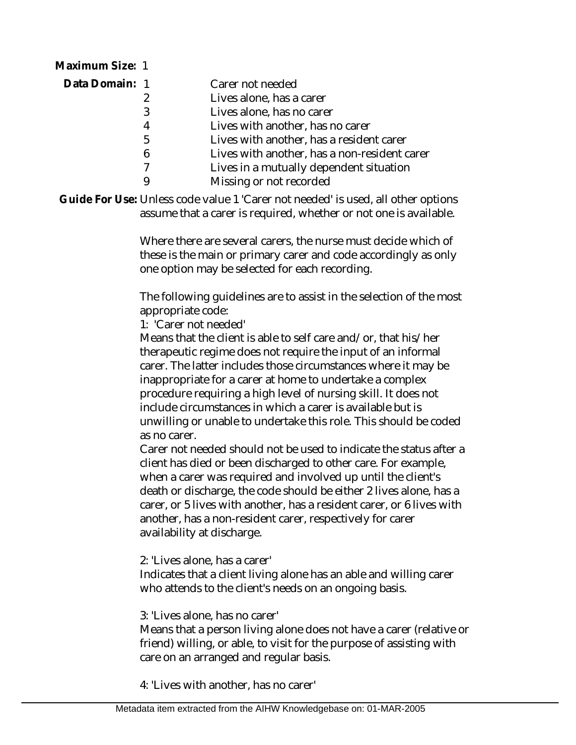| Maximum Size: 1 |                                              |
|-----------------|----------------------------------------------|
| Data Domain: 1  | Carer not needed                             |
|                 | Lives alone, has a carer                     |
| 3               | Lives alone, has no carer                    |
| 4               | Lives with another, has no carer             |
| 5               | Lives with another, has a resident carer     |
| 6               | Lives with another, has a non-resident carer |
|                 | Lives in a mutually dependent situation      |
|                 | Missing or not recorded                      |
|                 |                                              |

Guide For Use: Unless code value 1 'Carer not needed' is used, all other options assume that a carer is required, whether or not one is available.

> Where there are several carers, the nurse must decide which of these is the main or primary carer and code accordingly as only one option may be selected for each recording.

The following guidelines are to assist in the selection of the most appropriate code:

1: 'Carer not needed'

Means that the client is able to self care and/or, that his/her therapeutic regime does not require the input of an informal carer. The latter includes those circumstances where it may be inappropriate for a carer at home to undertake a complex procedure requiring a high level of nursing skill. It does not include circumstances in which a carer is available but is unwilling or unable to undertake this role. This should be coded as no carer.

Carer not needed should not be used to indicate the status after a client has died or been discharged to other care. For example, when a carer was required and involved up until the client's death or discharge, the code should be either 2 lives alone, has a carer, or 5 lives with another, has a resident carer, or 6 lives with another, has a non-resident carer, respectively for carer availability at discharge.

2: 'Lives alone, has a carer'

Indicates that a client living alone has an able and willing carer who attends to the client's needs on an ongoing basis.

3: 'Lives alone, has no carer'

Means that a person living alone does not have a carer (relative or friend) willing, or able, to visit for the purpose of assisting with care on an arranged and regular basis.

4: 'Lives with another, has no carer'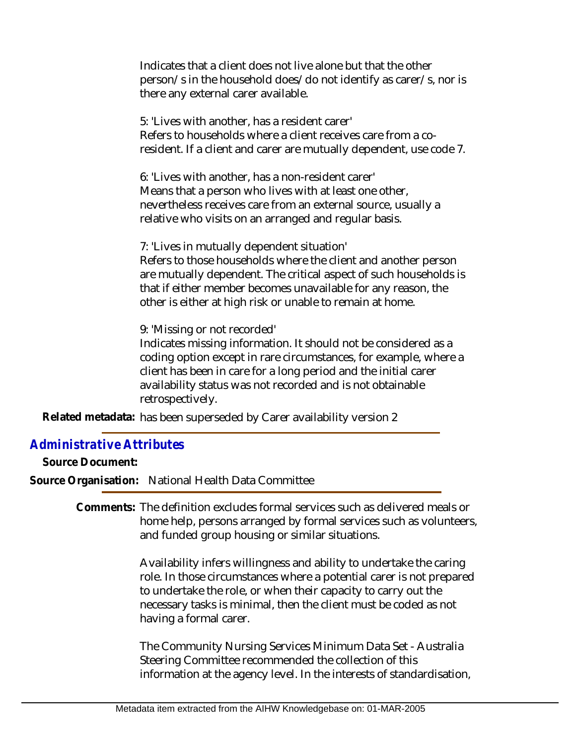Indicates that a client does not live alone but that the other person/s in the household does/do not identify as carer/s, nor is there any external carer available.

5: 'Lives with another, has a resident carer' Refers to households where a client receives care from a coresident. If a client and carer are mutually dependent, use code 7.

6: 'Lives with another, has a non-resident carer' Means that a person who lives with at least one other, nevertheless receives care from an external source, usually a relative who visits on an arranged and regular basis.

7: 'Lives in mutually dependent situation' Refers to those households where the client and another person

are mutually dependent. The critical aspect of such households is that if either member becomes unavailable for any reason, the other is either at high risk or unable to remain at home.

9: 'Missing or not recorded'

Indicates missing information. It should not be considered as a coding option except in rare circumstances, for example, where a client has been in care for a long period and the initial carer availability status was not recorded and is not obtainable retrospectively.

Related metadata: has been superseded by Carer availability version 2

## *Administrative Attributes*

**Source Document:**

**Source Organisation:** National Health Data Committee

Comments: The definition excludes formal services such as delivered meals or home help, persons arranged by formal services such as volunteers, and funded group housing or similar situations.

> Availability infers willingness and ability to undertake the caring role. In those circumstances where a potential carer is not prepared to undertake the role, or when their capacity to carry out the necessary tasks is minimal, then the client must be coded as not having a formal carer.

The Community Nursing Services Minimum Data Set - Australia Steering Committee recommended the collection of this information at the agency level. In the interests of standardisation,